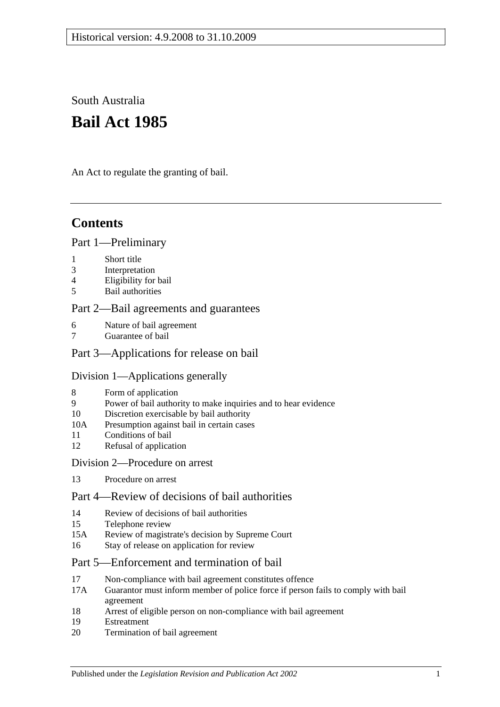South Australia

# **Bail Act 1985**

An Act to regulate the granting of bail.

# **Contents**

#### [Part 1—Preliminary](#page-1-0)

- 1 [Short title](#page-1-1)
- 3 [Interpretation](#page-1-2)
- 4 [Eligibility for bail](#page-2-0)
- 5 [Bail authorities](#page-3-0)

#### [Part 2—Bail agreements and guarantees](#page-3-1)

- 6 [Nature of bail agreement](#page-3-2)
- [Guarantee of bail](#page-5-0)

### [Part 3—Applications for release on bail](#page-5-1)

#### [Division 1—Applications generally](#page-5-2)

- 8 [Form of application](#page-5-3)
- 9 [Power of bail authority to make inquiries and to hear evidence](#page-6-0)
- 10 [Discretion exercisable by bail authority](#page-6-1)
- 10A [Presumption against bail in certain cases](#page-7-0)
- 11 [Conditions of bail](#page-8-0)
- 12 [Refusal of application](#page-10-0)

#### [Division 2—Procedure on arrest](#page-10-1)

13 [Procedure on arrest](#page-10-2)

# [Part 4—Review of decisions of bail authorities](#page-11-0)

- 14 [Review of decisions of bail authorities](#page-11-1)
- 15 [Telephone review](#page-12-0)
- 15A [Review of magistrate's decision by Supreme Court](#page-13-0)
- 16 [Stay of release on application for review](#page-13-1)

### [Part 5—Enforcement and termination of bail](#page-13-2)

- 17 [Non-compliance with bail agreement constitutes offence](#page-13-3)
- 17A [Guarantor must inform member of police force if person fails to comply with bail](#page-14-0)  [agreement](#page-14-0)
- 18 [Arrest of eligible person on non-compliance with bail agreement](#page-14-1)
- 19 [Estreatment](#page-14-2)
- 20 [Termination of bail agreement](#page-15-0)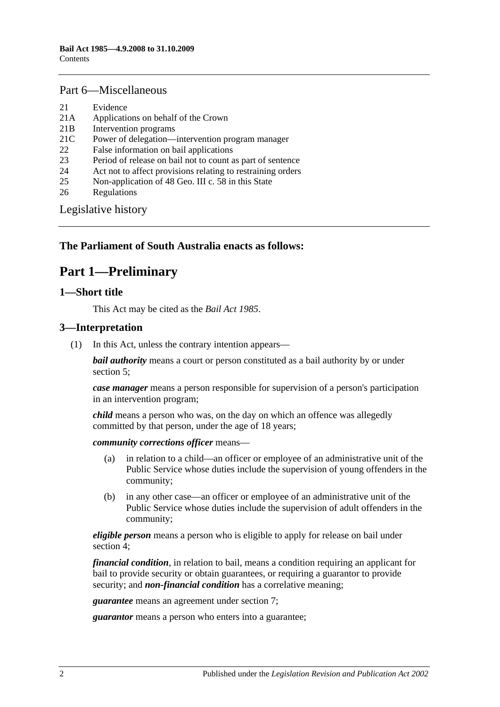#### [Part 6—Miscellaneous](#page-15-1)

- 21 [Evidence](#page-15-2)
- 21A [Applications on behalf of the Crown](#page-15-3)
- 21B [Intervention programs](#page-15-4)
- 21C [Power of delegation—intervention program manager](#page-16-0)
- 22 [False information on bail applications](#page-17-0)
- 23 [Period of release on bail not to count as part of sentence](#page-17-1)
- 24 [Act not to affect provisions relating to restraining orders](#page-17-2)
- 25 [Non-application of 48 Geo. III c. 58 in this State](#page-17-3)
- 26 [Regulations](#page-17-4)

[Legislative history](#page-18-0)

# <span id="page-1-0"></span>**The Parliament of South Australia enacts as follows:**

# **Part 1—Preliminary**

#### <span id="page-1-1"></span>**1—Short title**

This Act may be cited as the *Bail Act 1985*.

#### <span id="page-1-2"></span>**3—Interpretation**

(1) In this Act, unless the contrary intention appears—

*bail authority* means a court or person constituted as a bail authority by or under [section](#page-3-0) 5;

*case manager* means a person responsible for supervision of a person's participation in an intervention program;

*child* means a person who was, on the day on which an offence was allegedly committed by that person, under the age of 18 years;

*community corrections officer* means—

- (a) in relation to a child—an officer or employee of an administrative unit of the Public Service whose duties include the supervision of young offenders in the community;
- (b) in any other case—an officer or employee of an administrative unit of the Public Service whose duties include the supervision of adult offenders in the community;

*eligible person* means a person who is eligible to apply for release on bail under [section](#page-2-0) 4;

*financial condition*, in relation to bail, means a condition requiring an applicant for bail to provide security or obtain guarantees, or requiring a guarantor to provide security; and *non-financial condition* has a correlative meaning;

*guarantee* means an agreement under [section](#page-5-0) 7;

*guarantor* means a person who enters into a guarantee;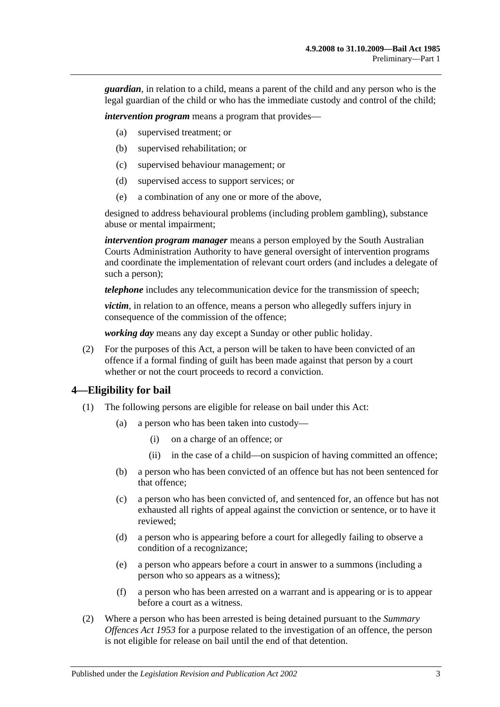*guardian*, in relation to a child, means a parent of the child and any person who is the legal guardian of the child or who has the immediate custody and control of the child;

*intervention program* means a program that provides—

- (a) supervised treatment; or
- (b) supervised rehabilitation; or
- (c) supervised behaviour management; or
- (d) supervised access to support services; or
- (e) a combination of any one or more of the above,

designed to address behavioural problems (including problem gambling), substance abuse or mental impairment;

*intervention program manager* means a person employed by the South Australian Courts Administration Authority to have general oversight of intervention programs and coordinate the implementation of relevant court orders (and includes a delegate of such a person);

*telephone* includes any telecommunication device for the transmission of speech;

*victim*, in relation to an offence, means a person who allegedly suffers injury in consequence of the commission of the offence;

*working day* means any day except a Sunday or other public holiday.

(2) For the purposes of this Act, a person will be taken to have been convicted of an offence if a formal finding of guilt has been made against that person by a court whether or not the court proceeds to record a conviction.

#### <span id="page-2-0"></span>**4—Eligibility for bail**

- (1) The following persons are eligible for release on bail under this Act:
	- (a) a person who has been taken into custody—
		- (i) on a charge of an offence; or
		- (ii) in the case of a child—on suspicion of having committed an offence;
	- (b) a person who has been convicted of an offence but has not been sentenced for that offence;
	- (c) a person who has been convicted of, and sentenced for, an offence but has not exhausted all rights of appeal against the conviction or sentence, or to have it reviewed;
	- (d) a person who is appearing before a court for allegedly failing to observe a condition of a recognizance;
	- (e) a person who appears before a court in answer to a summons (including a person who so appears as a witness);
	- (f) a person who has been arrested on a warrant and is appearing or is to appear before a court as a witness.
- (2) Where a person who has been arrested is being detained pursuant to the *[Summary](http://www.legislation.sa.gov.au/index.aspx?action=legref&type=act&legtitle=Summary%20Offences%20Act%201953)  [Offences Act](http://www.legislation.sa.gov.au/index.aspx?action=legref&type=act&legtitle=Summary%20Offences%20Act%201953) 1953* for a purpose related to the investigation of an offence, the person is not eligible for release on bail until the end of that detention.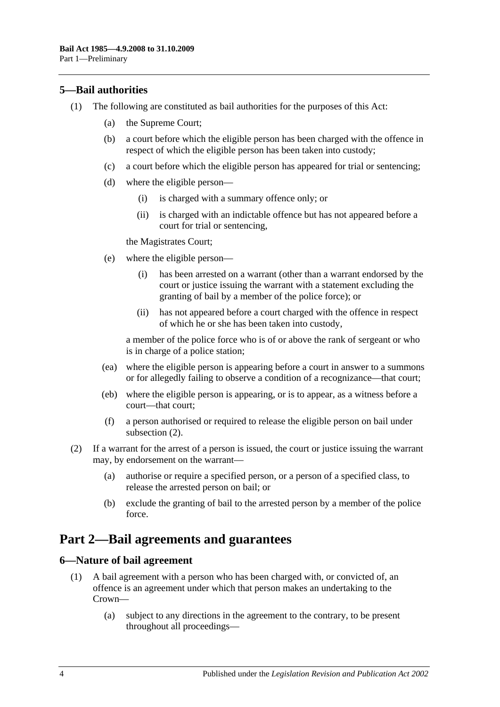# <span id="page-3-0"></span>**5—Bail authorities**

- (1) The following are constituted as bail authorities for the purposes of this Act:
	- (a) the Supreme Court;
	- (b) a court before which the eligible person has been charged with the offence in respect of which the eligible person has been taken into custody;
	- (c) a court before which the eligible person has appeared for trial or sentencing;
	- (d) where the eligible person—
		- (i) is charged with a summary offence only; or
		- (ii) is charged with an indictable offence but has not appeared before a court for trial or sentencing,

the Magistrates Court;

- (e) where the eligible person—
	- (i) has been arrested on a warrant (other than a warrant endorsed by the court or justice issuing the warrant with a statement excluding the granting of bail by a member of the police force); or
	- (ii) has not appeared before a court charged with the offence in respect of which he or she has been taken into custody,

a member of the police force who is of or above the rank of sergeant or who is in charge of a police station;

- (ea) where the eligible person is appearing before a court in answer to a summons or for allegedly failing to observe a condition of a recognizance—that court;
- (eb) where the eligible person is appearing, or is to appear, as a witness before a court—that court;
- (f) a person authorised or required to release the eligible person on bail under [subsection](#page-3-3) (2).
- <span id="page-3-3"></span>(2) If a warrant for the arrest of a person is issued, the court or justice issuing the warrant may, by endorsement on the warrant—
	- (a) authorise or require a specified person, or a person of a specified class, to release the arrested person on bail; or
	- (b) exclude the granting of bail to the arrested person by a member of the police force.

# <span id="page-3-1"></span>**Part 2—Bail agreements and guarantees**

#### <span id="page-3-4"></span><span id="page-3-2"></span>**6—Nature of bail agreement**

- (1) A bail agreement with a person who has been charged with, or convicted of, an offence is an agreement under which that person makes an undertaking to the Crown—
	- (a) subject to any directions in the agreement to the contrary, to be present throughout all proceedings—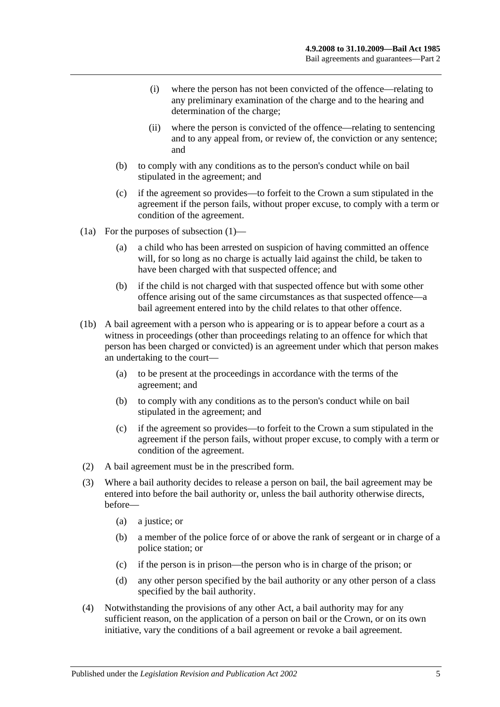- (i) where the person has not been convicted of the offence—relating to any preliminary examination of the charge and to the hearing and determination of the charge;
- (ii) where the person is convicted of the offence—relating to sentencing and to any appeal from, or review of, the conviction or any sentence; and
- (b) to comply with any conditions as to the person's conduct while on bail stipulated in the agreement; and
- (c) if the agreement so provides—to forfeit to the Crown a sum stipulated in the agreement if the person fails, without proper excuse, to comply with a term or condition of the agreement.
- (1a) For the purposes of [subsection](#page-3-4) (1)—
	- (a) a child who has been arrested on suspicion of having committed an offence will, for so long as no charge is actually laid against the child, be taken to have been charged with that suspected offence; and
	- (b) if the child is not charged with that suspected offence but with some other offence arising out of the same circumstances as that suspected offence—a bail agreement entered into by the child relates to that other offence.
- (1b) A bail agreement with a person who is appearing or is to appear before a court as a witness in proceedings (other than proceedings relating to an offence for which that person has been charged or convicted) is an agreement under which that person makes an undertaking to the court—
	- (a) to be present at the proceedings in accordance with the terms of the agreement; and
	- (b) to comply with any conditions as to the person's conduct while on bail stipulated in the agreement; and
	- (c) if the agreement so provides—to forfeit to the Crown a sum stipulated in the agreement if the person fails, without proper excuse, to comply with a term or condition of the agreement.
- (2) A bail agreement must be in the prescribed form.
- (3) Where a bail authority decides to release a person on bail, the bail agreement may be entered into before the bail authority or, unless the bail authority otherwise directs, before—
	- (a) a justice; or
	- (b) a member of the police force of or above the rank of sergeant or in charge of a police station; or
	- (c) if the person is in prison—the person who is in charge of the prison; or
	- (d) any other person specified by the bail authority or any other person of a class specified by the bail authority.
- (4) Notwithstanding the provisions of any other Act, a bail authority may for any sufficient reason, on the application of a person on bail or the Crown, or on its own initiative, vary the conditions of a bail agreement or revoke a bail agreement.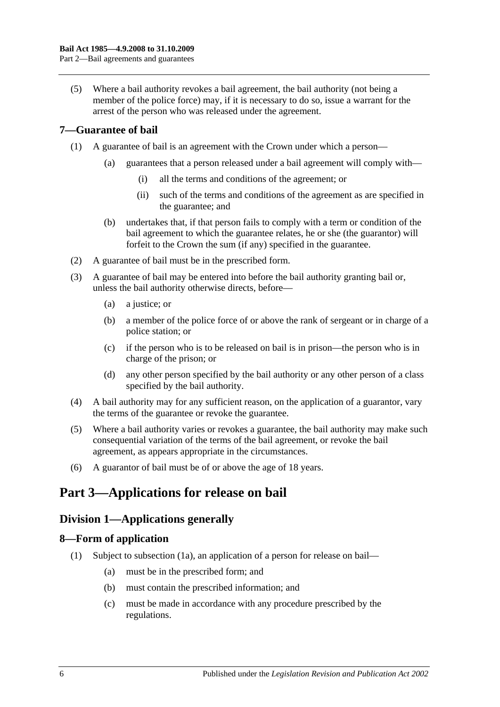(5) Where a bail authority revokes a bail agreement, the bail authority (not being a member of the police force) may, if it is necessary to do so, issue a warrant for the arrest of the person who was released under the agreement.

# <span id="page-5-0"></span>**7—Guarantee of bail**

- (1) A guarantee of bail is an agreement with the Crown under which a person—
	- (a) guarantees that a person released under a bail agreement will comply with—
		- (i) all the terms and conditions of the agreement; or
		- (ii) such of the terms and conditions of the agreement as are specified in the guarantee; and
	- (b) undertakes that, if that person fails to comply with a term or condition of the bail agreement to which the guarantee relates, he or she (the guarantor) will forfeit to the Crown the sum (if any) specified in the guarantee.
- (2) A guarantee of bail must be in the prescribed form.
- (3) A guarantee of bail may be entered into before the bail authority granting bail or, unless the bail authority otherwise directs, before—
	- (a) a justice; or
	- (b) a member of the police force of or above the rank of sergeant or in charge of a police station; or
	- (c) if the person who is to be released on bail is in prison—the person who is in charge of the prison; or
	- (d) any other person specified by the bail authority or any other person of a class specified by the bail authority.
- (4) A bail authority may for any sufficient reason, on the application of a guarantor, vary the terms of the guarantee or revoke the guarantee.
- (5) Where a bail authority varies or revokes a guarantee, the bail authority may make such consequential variation of the terms of the bail agreement, or revoke the bail agreement, as appears appropriate in the circumstances.
- (6) A guarantor of bail must be of or above the age of 18 years.

# <span id="page-5-2"></span><span id="page-5-1"></span>**Part 3—Applications for release on bail**

# **Division 1—Applications generally**

### <span id="page-5-4"></span><span id="page-5-3"></span>**8—Form of application**

- (1) Subject to [subsection](#page-6-2) (1a), an application of a person for release on bail—
	- (a) must be in the prescribed form; and
	- (b) must contain the prescribed information; and
	- (c) must be made in accordance with any procedure prescribed by the regulations.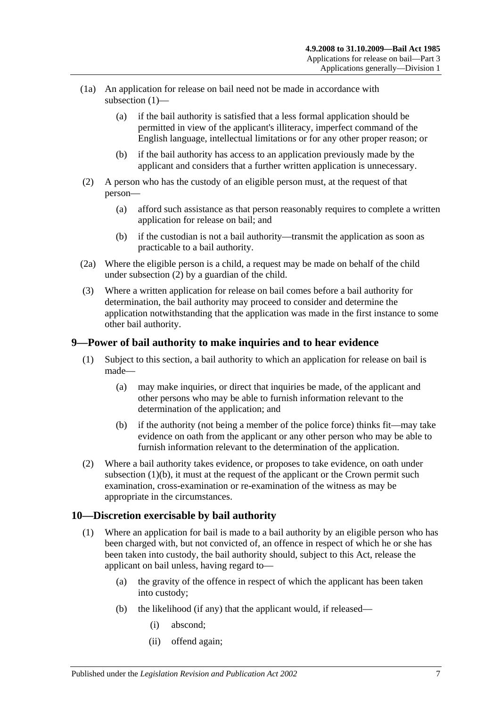- <span id="page-6-2"></span>(1a) An application for release on bail need not be made in accordance with [subsection](#page-5-4) (1)—
	- (a) if the bail authority is satisfied that a less formal application should be permitted in view of the applicant's illiteracy, imperfect command of the English language, intellectual limitations or for any other proper reason; or
	- (b) if the bail authority has access to an application previously made by the applicant and considers that a further written application is unnecessary.
- <span id="page-6-3"></span>(2) A person who has the custody of an eligible person must, at the request of that person—
	- (a) afford such assistance as that person reasonably requires to complete a written application for release on bail; and
	- (b) if the custodian is not a bail authority—transmit the application as soon as practicable to a bail authority.
- (2a) Where the eligible person is a child, a request may be made on behalf of the child under [subsection](#page-6-3) (2) by a guardian of the child.
- (3) Where a written application for release on bail comes before a bail authority for determination, the bail authority may proceed to consider and determine the application notwithstanding that the application was made in the first instance to some other bail authority.

### <span id="page-6-0"></span>**9—Power of bail authority to make inquiries and to hear evidence**

- (1) Subject to this section, a bail authority to which an application for release on bail is made—
	- (a) may make inquiries, or direct that inquiries be made, of the applicant and other persons who may be able to furnish information relevant to the determination of the application; and
	- (b) if the authority (not being a member of the police force) thinks fit—may take evidence on oath from the applicant or any other person who may be able to furnish information relevant to the determination of the application.
- <span id="page-6-4"></span>(2) Where a bail authority takes evidence, or proposes to take evidence, on oath under [subsection](#page-6-4)  $(1)(b)$ , it must at the request of the applicant or the Crown permit such examination, cross-examination or re-examination of the witness as may be appropriate in the circumstances.

### <span id="page-6-1"></span>**10—Discretion exercisable by bail authority**

- (1) Where an application for bail is made to a bail authority by an eligible person who has been charged with, but not convicted of, an offence in respect of which he or she has been taken into custody, the bail authority should, subject to this Act, release the applicant on bail unless, having regard to—
	- (a) the gravity of the offence in respect of which the applicant has been taken into custody;
	- (b) the likelihood (if any) that the applicant would, if released—
		- (i) abscond;
		- (ii) offend again;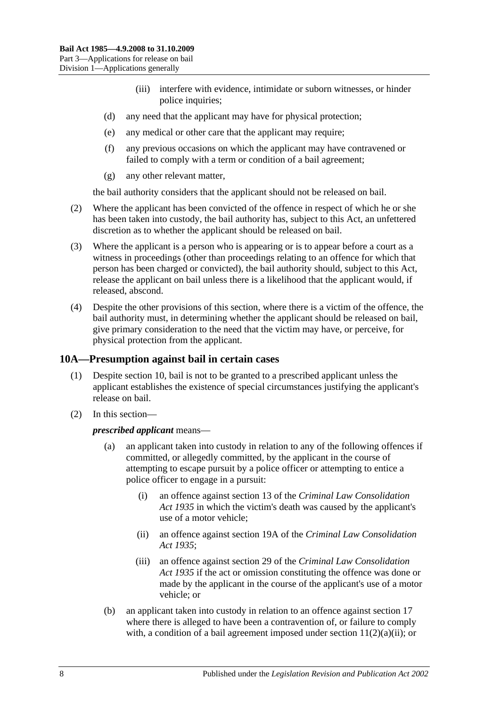- (iii) interfere with evidence, intimidate or suborn witnesses, or hinder police inquiries;
- (d) any need that the applicant may have for physical protection;
- (e) any medical or other care that the applicant may require;
- (f) any previous occasions on which the applicant may have contravened or failed to comply with a term or condition of a bail agreement;
- (g) any other relevant matter,

the bail authority considers that the applicant should not be released on bail.

- (2) Where the applicant has been convicted of the offence in respect of which he or she has been taken into custody, the bail authority has, subject to this Act, an unfettered discretion as to whether the applicant should be released on bail.
- (3) Where the applicant is a person who is appearing or is to appear before a court as a witness in proceedings (other than proceedings relating to an offence for which that person has been charged or convicted), the bail authority should, subject to this Act, release the applicant on bail unless there is a likelihood that the applicant would, if released, abscond.
- (4) Despite the other provisions of this section, where there is a victim of the offence, the bail authority must, in determining whether the applicant should be released on bail, give primary consideration to the need that the victim may have, or perceive, for physical protection from the applicant.

### <span id="page-7-0"></span>**10A—Presumption against bail in certain cases**

- (1) Despite [section](#page-6-1) 10, bail is not to be granted to a prescribed applicant unless the applicant establishes the existence of special circumstances justifying the applicant's release on bail.
- (2) In this section—

#### *prescribed applicant* means—

- (a) an applicant taken into custody in relation to any of the following offences if committed, or allegedly committed, by the applicant in the course of attempting to escape pursuit by a police officer or attempting to entice a police officer to engage in a pursuit:
	- (i) an offence against section 13 of the *[Criminal Law Consolidation](http://www.legislation.sa.gov.au/index.aspx?action=legref&type=act&legtitle=Criminal%20Law%20Consolidation%20Act%201935)  Act [1935](http://www.legislation.sa.gov.au/index.aspx?action=legref&type=act&legtitle=Criminal%20Law%20Consolidation%20Act%201935)* in which the victim's death was caused by the applicant's use of a motor vehicle;
	- (ii) an offence against section 19A of the *[Criminal Law Consolidation](http://www.legislation.sa.gov.au/index.aspx?action=legref&type=act&legtitle=Criminal%20Law%20Consolidation%20Act%201935)  Act [1935](http://www.legislation.sa.gov.au/index.aspx?action=legref&type=act&legtitle=Criminal%20Law%20Consolidation%20Act%201935)*;
	- (iii) an offence against section 29 of the *[Criminal Law Consolidation](http://www.legislation.sa.gov.au/index.aspx?action=legref&type=act&legtitle=Criminal%20Law%20Consolidation%20Act%201935)  Act [1935](http://www.legislation.sa.gov.au/index.aspx?action=legref&type=act&legtitle=Criminal%20Law%20Consolidation%20Act%201935)* if the act or omission constituting the offence was done or made by the applicant in the course of the applicant's use of a motor vehicle; or
- (b) an applicant taken into custody in relation to an offence against [section](#page-13-3) 17 where there is alleged to have been a contravention of, or failure to comply with, a condition of a bail agreement imposed under section  $11(2)(a)(ii)$ ; or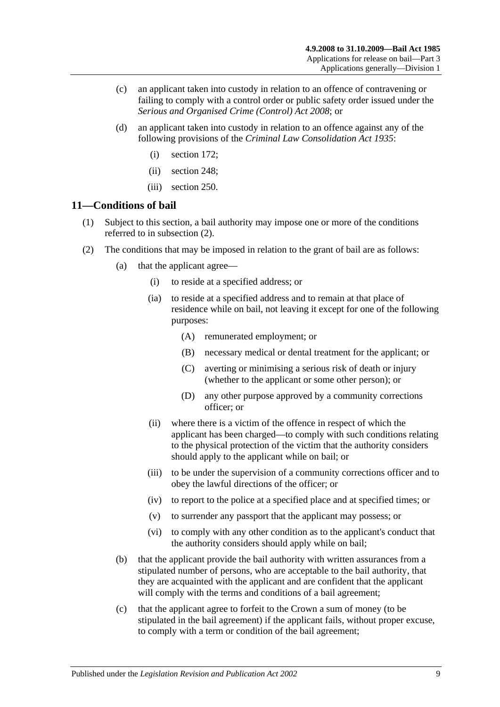- (c) an applicant taken into custody in relation to an offence of contravening or failing to comply with a control order or public safety order issued under the *[Serious and Organised Crime \(Control\) Act](http://www.legislation.sa.gov.au/index.aspx?action=legref&type=act&legtitle=Serious%20and%20Organised%20Crime%20(Control)%20Act%202008) 2008*; or
- (d) an applicant taken into custody in relation to an offence against any of the following provisions of the *[Criminal Law Consolidation Act](http://www.legislation.sa.gov.au/index.aspx?action=legref&type=act&legtitle=Criminal%20Law%20Consolidation%20Act%201935) 1935*:
	- (i) section 172;
	- (ii) section 248;
	- (iii) section 250.

#### <span id="page-8-0"></span>**11—Conditions of bail**

- (1) Subject to this section, a bail authority may impose one or more of the conditions referred to in [subsection](#page-8-2) (2).
- <span id="page-8-5"></span><span id="page-8-4"></span><span id="page-8-3"></span><span id="page-8-2"></span><span id="page-8-1"></span>(2) The conditions that may be imposed in relation to the grant of bail are as follows:
	- (a) that the applicant agree—
		- (i) to reside at a specified address; or
		- (ia) to reside at a specified address and to remain at that place of residence while on bail, not leaving it except for one of the following purposes:
			- (A) remunerated employment; or
			- (B) necessary medical or dental treatment for the applicant; or
			- (C) averting or minimising a serious risk of death or injury (whether to the applicant or some other person); or
			- (D) any other purpose approved by a community corrections officer; or
		- (ii) where there is a victim of the offence in respect of which the applicant has been charged—to comply with such conditions relating to the physical protection of the victim that the authority considers should apply to the applicant while on bail; or
		- (iii) to be under the supervision of a community corrections officer and to obey the lawful directions of the officer; or
		- (iv) to report to the police at a specified place and at specified times; or
		- (v) to surrender any passport that the applicant may possess; or
		- (vi) to comply with any other condition as to the applicant's conduct that the authority considers should apply while on bail;
	- (b) that the applicant provide the bail authority with written assurances from a stipulated number of persons, who are acceptable to the bail authority, that they are acquainted with the applicant and are confident that the applicant will comply with the terms and conditions of a bail agreement;
	- (c) that the applicant agree to forfeit to the Crown a sum of money (to be stipulated in the bail agreement) if the applicant fails, without proper excuse, to comply with a term or condition of the bail agreement;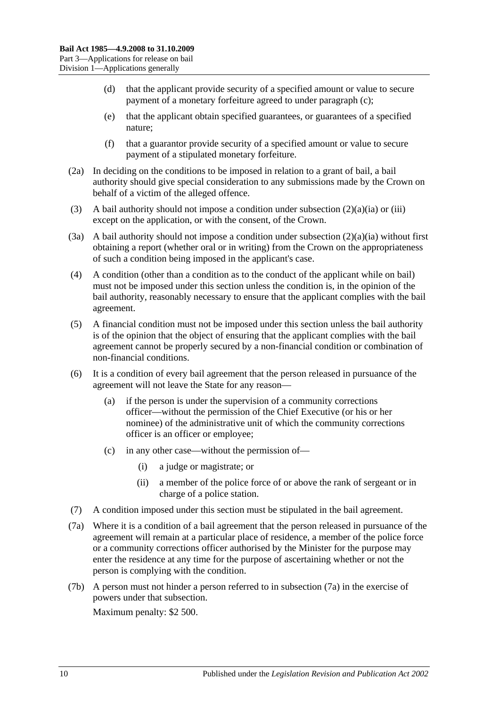- (d) that the applicant provide security of a specified amount or value to secure payment of a monetary forfeiture agreed to under [paragraph](#page-8-3) (c);
- (e) that the applicant obtain specified guarantees, or guarantees of a specified nature;
- (f) that a guarantor provide security of a specified amount or value to secure payment of a stipulated monetary forfeiture.
- (2a) In deciding on the conditions to be imposed in relation to a grant of bail, a bail authority should give special consideration to any submissions made by the Crown on behalf of a victim of the alleged offence.
- (3) A bail authority should not impose a condition under [subsection](#page-8-4)  $(2)(a)(ia)$  or [\(iii\)](#page-8-5) except on the application, or with the consent, of the Crown.
- (3a) A bail authority should not impose a condition under [subsection](#page-8-4)  $(2)(a)(ia)$  without first obtaining a report (whether oral or in writing) from the Crown on the appropriateness of such a condition being imposed in the applicant's case.
- (4) A condition (other than a condition as to the conduct of the applicant while on bail) must not be imposed under this section unless the condition is, in the opinion of the bail authority, reasonably necessary to ensure that the applicant complies with the bail agreement.
- (5) A financial condition must not be imposed under this section unless the bail authority is of the opinion that the object of ensuring that the applicant complies with the bail agreement cannot be properly secured by a non-financial condition or combination of non-financial conditions.
- (6) It is a condition of every bail agreement that the person released in pursuance of the agreement will not leave the State for any reason—
	- (a) if the person is under the supervision of a community corrections officer—without the permission of the Chief Executive (or his or her nominee) of the administrative unit of which the community corrections officer is an officer or employee;
	- (c) in any other case—without the permission of—
		- (i) a judge or magistrate; or
		- (ii) a member of the police force of or above the rank of sergeant or in charge of a police station.
- (7) A condition imposed under this section must be stipulated in the bail agreement.
- <span id="page-9-0"></span>(7a) Where it is a condition of a bail agreement that the person released in pursuance of the agreement will remain at a particular place of residence, a member of the police force or a community corrections officer authorised by the Minister for the purpose may enter the residence at any time for the purpose of ascertaining whether or not the person is complying with the condition.
- (7b) A person must not hinder a person referred to in [subsection](#page-9-0) (7a) in the exercise of powers under that subsection.

Maximum penalty: \$2 500.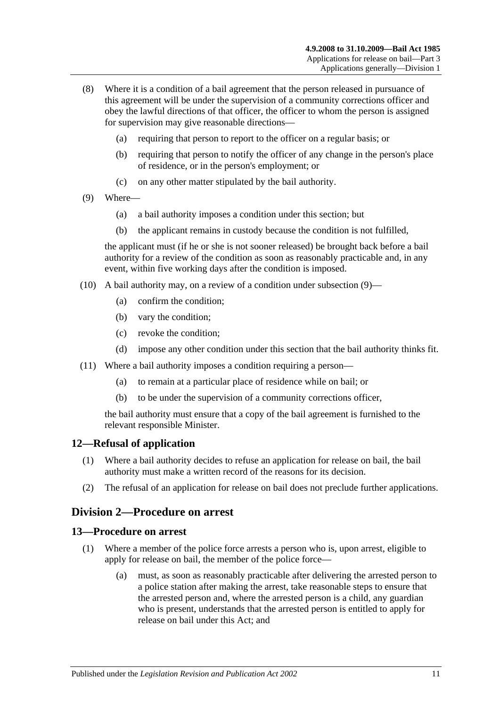- (8) Where it is a condition of a bail agreement that the person released in pursuance of this agreement will be under the supervision of a community corrections officer and obey the lawful directions of that officer, the officer to whom the person is assigned for supervision may give reasonable directions—
	- (a) requiring that person to report to the officer on a regular basis; or
	- (b) requiring that person to notify the officer of any change in the person's place of residence, or in the person's employment; or
	- (c) on any other matter stipulated by the bail authority.
- <span id="page-10-3"></span>(9) Where—
	- (a) a bail authority imposes a condition under this section; but
	- (b) the applicant remains in custody because the condition is not fulfilled,

the applicant must (if he or she is not sooner released) be brought back before a bail authority for a review of the condition as soon as reasonably practicable and, in any event, within five working days after the condition is imposed.

- (10) A bail authority may, on a review of a condition under [subsection](#page-10-3) (9)—
	- (a) confirm the condition;
	- (b) vary the condition;
	- (c) revoke the condition;
	- (d) impose any other condition under this section that the bail authority thinks fit.
- (11) Where a bail authority imposes a condition requiring a person—
	- (a) to remain at a particular place of residence while on bail; or
	- (b) to be under the supervision of a community corrections officer,

the bail authority must ensure that a copy of the bail agreement is furnished to the relevant responsible Minister.

#### <span id="page-10-0"></span>**12—Refusal of application**

- (1) Where a bail authority decides to refuse an application for release on bail, the bail authority must make a written record of the reasons for its decision.
- (2) The refusal of an application for release on bail does not preclude further applications.

### <span id="page-10-1"></span>**Division 2—Procedure on arrest**

#### <span id="page-10-2"></span>**13—Procedure on arrest**

- (1) Where a member of the police force arrests a person who is, upon arrest, eligible to apply for release on bail, the member of the police force—
	- (a) must, as soon as reasonably practicable after delivering the arrested person to a police station after making the arrest, take reasonable steps to ensure that the arrested person and, where the arrested person is a child, any guardian who is present, understands that the arrested person is entitled to apply for release on bail under this Act; and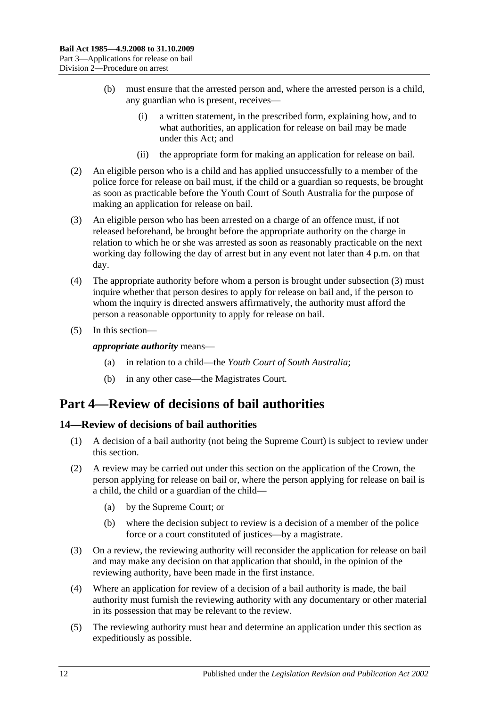- (b) must ensure that the arrested person and, where the arrested person is a child, any guardian who is present, receives—
	- (i) a written statement, in the prescribed form, explaining how, and to what authorities, an application for release on bail may be made under this Act; and
	- (ii) the appropriate form for making an application for release on bail.
- (2) An eligible person who is a child and has applied unsuccessfully to a member of the police force for release on bail must, if the child or a guardian so requests, be brought as soon as practicable before the Youth Court of South Australia for the purpose of making an application for release on bail.
- <span id="page-11-2"></span>(3) An eligible person who has been arrested on a charge of an offence must, if not released beforehand, be brought before the appropriate authority on the charge in relation to which he or she was arrested as soon as reasonably practicable on the next working day following the day of arrest but in any event not later than 4 p.m. on that day.
- (4) The appropriate authority before whom a person is brought under [subsection](#page-11-2) (3) must inquire whether that person desires to apply for release on bail and, if the person to whom the inquiry is directed answers affirmatively, the authority must afford the person a reasonable opportunity to apply for release on bail.
- (5) In this section—

*appropriate authority* means—

- (a) in relation to a child—the *Youth Court of South Australia*;
- (b) in any other case—the Magistrates Court.

# <span id="page-11-0"></span>**Part 4—Review of decisions of bail authorities**

### <span id="page-11-1"></span>**14—Review of decisions of bail authorities**

- (1) A decision of a bail authority (not being the Supreme Court) is subject to review under this section.
- (2) A review may be carried out under this section on the application of the Crown, the person applying for release on bail or, where the person applying for release on bail is a child, the child or a guardian of the child—
	- (a) by the Supreme Court; or
	- (b) where the decision subject to review is a decision of a member of the police force or a court constituted of justices—by a magistrate.
- (3) On a review, the reviewing authority will reconsider the application for release on bail and may make any decision on that application that should, in the opinion of the reviewing authority, have been made in the first instance.
- (4) Where an application for review of a decision of a bail authority is made, the bail authority must furnish the reviewing authority with any documentary or other material in its possession that may be relevant to the review.
- (5) The reviewing authority must hear and determine an application under this section as expeditiously as possible.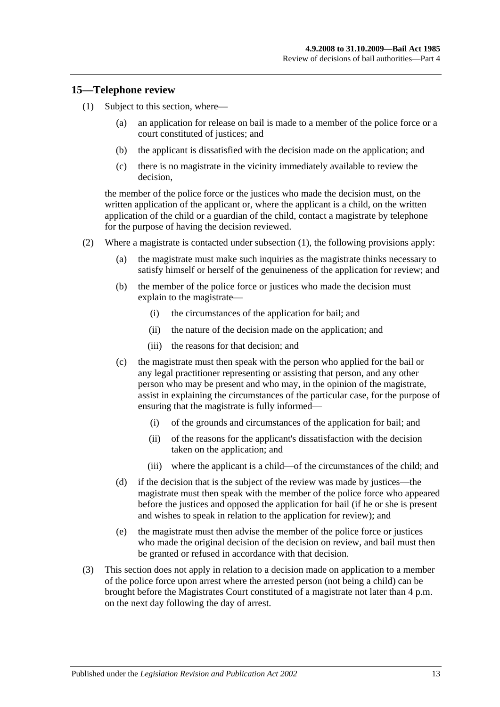#### <span id="page-12-1"></span><span id="page-12-0"></span>**15—Telephone review**

- (1) Subject to this section, where—
	- (a) an application for release on bail is made to a member of the police force or a court constituted of justices; and
	- (b) the applicant is dissatisfied with the decision made on the application; and
	- (c) there is no magistrate in the vicinity immediately available to review the decision,

the member of the police force or the justices who made the decision must, on the written application of the applicant or, where the applicant is a child, on the written application of the child or a guardian of the child, contact a magistrate by telephone for the purpose of having the decision reviewed.

- (2) Where a magistrate is contacted under [subsection](#page-12-1) (1), the following provisions apply:
	- (a) the magistrate must make such inquiries as the magistrate thinks necessary to satisfy himself or herself of the genuineness of the application for review; and
	- (b) the member of the police force or justices who made the decision must explain to the magistrate—
		- (i) the circumstances of the application for bail; and
		- (ii) the nature of the decision made on the application; and
		- (iii) the reasons for that decision; and
	- (c) the magistrate must then speak with the person who applied for the bail or any legal practitioner representing or assisting that person, and any other person who may be present and who may, in the opinion of the magistrate, assist in explaining the circumstances of the particular case, for the purpose of ensuring that the magistrate is fully informed—
		- (i) of the grounds and circumstances of the application for bail; and
		- (ii) of the reasons for the applicant's dissatisfaction with the decision taken on the application; and
		- (iii) where the applicant is a child—of the circumstances of the child; and
	- (d) if the decision that is the subject of the review was made by justices—the magistrate must then speak with the member of the police force who appeared before the justices and opposed the application for bail (if he or she is present and wishes to speak in relation to the application for review); and
	- (e) the magistrate must then advise the member of the police force or justices who made the original decision of the decision on review, and bail must then be granted or refused in accordance with that decision.
- (3) This section does not apply in relation to a decision made on application to a member of the police force upon arrest where the arrested person (not being a child) can be brought before the Magistrates Court constituted of a magistrate not later than 4 p.m. on the next day following the day of arrest.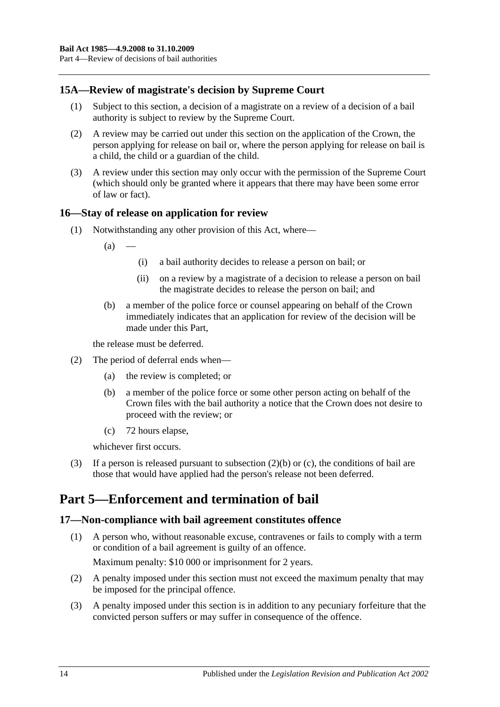# <span id="page-13-0"></span>**15A—Review of magistrate's decision by Supreme Court**

- (1) Subject to this section, a decision of a magistrate on a review of a decision of a bail authority is subject to review by the Supreme Court.
- (2) A review may be carried out under this section on the application of the Crown, the person applying for release on bail or, where the person applying for release on bail is a child, the child or a guardian of the child.
- (3) A review under this section may only occur with the permission of the Supreme Court (which should only be granted where it appears that there may have been some error of law or fact).

#### <span id="page-13-1"></span>**16—Stay of release on application for review**

- (1) Notwithstanding any other provision of this Act, where—
	- $(a)$
- (i) a bail authority decides to release a person on bail; or
- (ii) on a review by a magistrate of a decision to release a person on bail the magistrate decides to release the person on bail; and
- (b) a member of the police force or counsel appearing on behalf of the Crown immediately indicates that an application for review of the decision will be made under this Part,

the release must be deferred.

- <span id="page-13-4"></span>(2) The period of deferral ends when—
	- (a) the review is completed; or
	- (b) a member of the police force or some other person acting on behalf of the Crown files with the bail authority a notice that the Crown does not desire to proceed with the review; or
	- (c) 72 hours elapse,

whichever first occurs.

<span id="page-13-5"></span>(3) If a person is released pursuant to [subsection](#page-13-4) (2)(b) or [\(c\),](#page-13-5) the conditions of bail are those that would have applied had the person's release not been deferred.

# <span id="page-13-2"></span>**Part 5—Enforcement and termination of bail**

#### <span id="page-13-3"></span>**17—Non-compliance with bail agreement constitutes offence**

- (1) A person who, without reasonable excuse, contravenes or fails to comply with a term or condition of a bail agreement is guilty of an offence. Maximum penalty: \$10 000 or imprisonment for 2 years.
- (2) A penalty imposed under this section must not exceed the maximum penalty that may be imposed for the principal offence.
- (3) A penalty imposed under this section is in addition to any pecuniary forfeiture that the convicted person suffers or may suffer in consequence of the offence.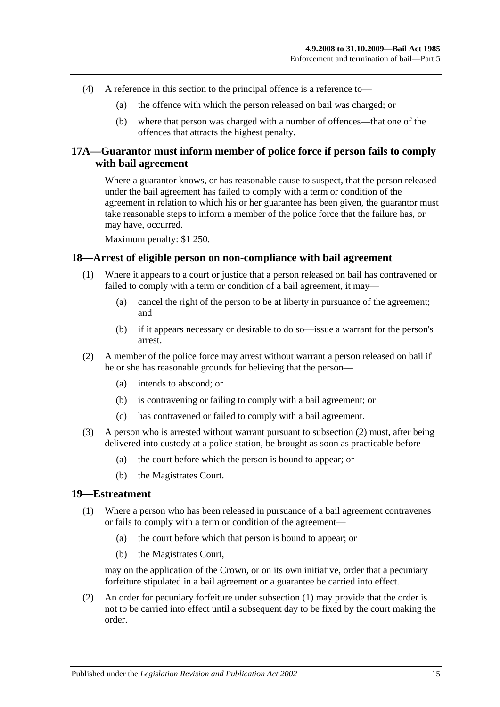- (4) A reference in this section to the principal offence is a reference to—
	- (a) the offence with which the person released on bail was charged; or
	- (b) where that person was charged with a number of offences—that one of the offences that attracts the highest penalty.

# <span id="page-14-0"></span>**17A—Guarantor must inform member of police force if person fails to comply with bail agreement**

Where a guarantor knows, or has reasonable cause to suspect, that the person released under the bail agreement has failed to comply with a term or condition of the agreement in relation to which his or her guarantee has been given, the guarantor must take reasonable steps to inform a member of the police force that the failure has, or may have, occurred.

Maximum penalty: \$1 250.

#### <span id="page-14-1"></span>**18—Arrest of eligible person on non-compliance with bail agreement**

- (1) Where it appears to a court or justice that a person released on bail has contravened or failed to comply with a term or condition of a bail agreement, it may—
	- (a) cancel the right of the person to be at liberty in pursuance of the agreement; and
	- (b) if it appears necessary or desirable to do so—issue a warrant for the person's arrest.
- <span id="page-14-3"></span>(2) A member of the police force may arrest without warrant a person released on bail if he or she has reasonable grounds for believing that the person—
	- (a) intends to abscond; or
	- (b) is contravening or failing to comply with a bail agreement; or
	- (c) has contravened or failed to comply with a bail agreement.
- (3) A person who is arrested without warrant pursuant to [subsection](#page-14-3) (2) must, after being delivered into custody at a police station, be brought as soon as practicable before—
	- (a) the court before which the person is bound to appear; or
	- (b) the Magistrates Court.

#### <span id="page-14-4"></span><span id="page-14-2"></span>**19—Estreatment**

- (1) Where a person who has been released in pursuance of a bail agreement contravenes or fails to comply with a term or condition of the agreement—
	- (a) the court before which that person is bound to appear; or
	- (b) the Magistrates Court,

may on the application of the Crown, or on its own initiative, order that a pecuniary forfeiture stipulated in a bail agreement or a guarantee be carried into effect.

(2) An order for pecuniary forfeiture under [subsection](#page-14-4) (1) may provide that the order is not to be carried into effect until a subsequent day to be fixed by the court making the order.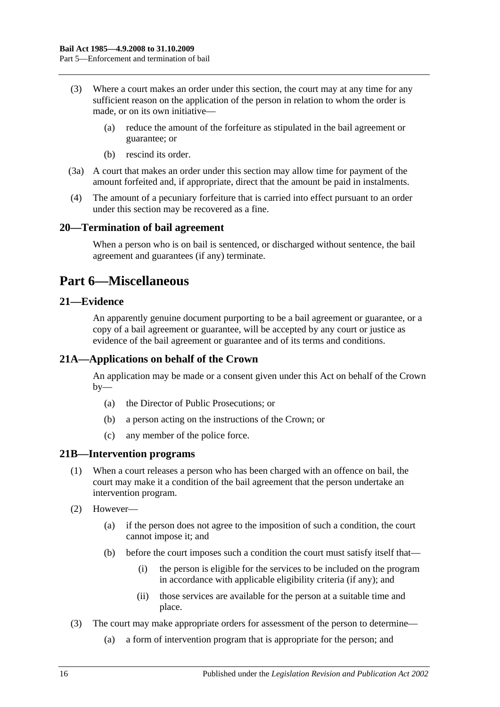- (3) Where a court makes an order under this section, the court may at any time for any sufficient reason on the application of the person in relation to whom the order is made, or on its own initiative—
	- (a) reduce the amount of the forfeiture as stipulated in the bail agreement or guarantee; or
	- (b) rescind its order.
- (3a) A court that makes an order under this section may allow time for payment of the amount forfeited and, if appropriate, direct that the amount be paid in instalments.
- (4) The amount of a pecuniary forfeiture that is carried into effect pursuant to an order under this section may be recovered as a fine.

### <span id="page-15-0"></span>**20—Termination of bail agreement**

When a person who is on bail is sentenced, or discharged without sentence, the bail agreement and guarantees (if any) terminate.

# <span id="page-15-1"></span>**Part 6—Miscellaneous**

# <span id="page-15-2"></span>**21—Evidence**

An apparently genuine document purporting to be a bail agreement or guarantee, or a copy of a bail agreement or guarantee, will be accepted by any court or justice as evidence of the bail agreement or guarantee and of its terms and conditions.

# <span id="page-15-3"></span>**21A—Applications on behalf of the Crown**

An application may be made or a consent given under this Act on behalf of the Crown  $by-$ 

- (a) the Director of Public Prosecutions; or
- (b) a person acting on the instructions of the Crown; or
- (c) any member of the police force.

#### <span id="page-15-4"></span>**21B—Intervention programs**

- (1) When a court releases a person who has been charged with an offence on bail, the court may make it a condition of the bail agreement that the person undertake an intervention program.
- (2) However—
	- (a) if the person does not agree to the imposition of such a condition, the court cannot impose it; and
	- (b) before the court imposes such a condition the court must satisfy itself that—
		- (i) the person is eligible for the services to be included on the program in accordance with applicable eligibility criteria (if any); and
		- (ii) those services are available for the person at a suitable time and place.
- (3) The court may make appropriate orders for assessment of the person to determine—
	- (a) a form of intervention program that is appropriate for the person; and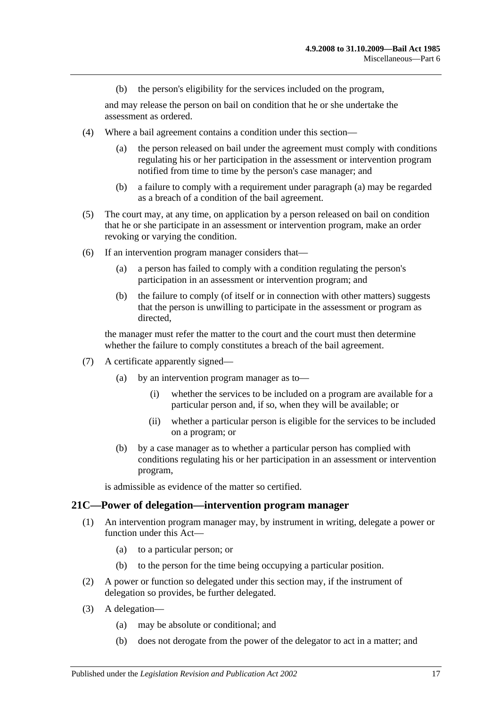(b) the person's eligibility for the services included on the program,

and may release the person on bail on condition that he or she undertake the assessment as ordered.

- <span id="page-16-1"></span>(4) Where a bail agreement contains a condition under this section—
	- (a) the person released on bail under the agreement must comply with conditions regulating his or her participation in the assessment or intervention program notified from time to time by the person's case manager; and
	- (b) a failure to comply with a requirement under [paragraph](#page-16-1) (a) may be regarded as a breach of a condition of the bail agreement.
- (5) The court may, at any time, on application by a person released on bail on condition that he or she participate in an assessment or intervention program, make an order revoking or varying the condition.
- (6) If an intervention program manager considers that—
	- (a) a person has failed to comply with a condition regulating the person's participation in an assessment or intervention program; and
	- (b) the failure to comply (of itself or in connection with other matters) suggests that the person is unwilling to participate in the assessment or program as directed,

the manager must refer the matter to the court and the court must then determine whether the failure to comply constitutes a breach of the bail agreement.

- (7) A certificate apparently signed—
	- (a) by an intervention program manager as to—
		- (i) whether the services to be included on a program are available for a particular person and, if so, when they will be available; or
		- (ii) whether a particular person is eligible for the services to be included on a program; or
	- (b) by a case manager as to whether a particular person has complied with conditions regulating his or her participation in an assessment or intervention program,

is admissible as evidence of the matter so certified.

#### <span id="page-16-0"></span>**21C—Power of delegation—intervention program manager**

- (1) An intervention program manager may, by instrument in writing, delegate a power or function under this Act—
	- (a) to a particular person; or
	- (b) to the person for the time being occupying a particular position.
- (2) A power or function so delegated under this section may, if the instrument of delegation so provides, be further delegated.
- (3) A delegation—
	- (a) may be absolute or conditional; and
	- (b) does not derogate from the power of the delegator to act in a matter; and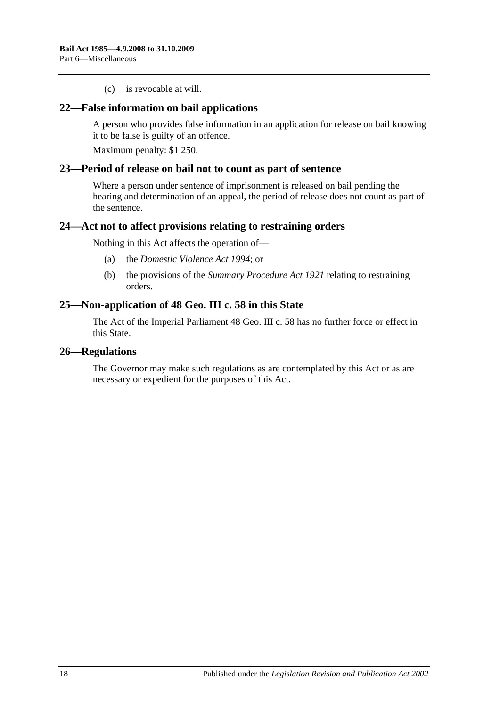(c) is revocable at will.

#### <span id="page-17-0"></span>**22—False information on bail applications**

A person who provides false information in an application for release on bail knowing it to be false is guilty of an offence.

Maximum penalty: \$1 250.

#### <span id="page-17-1"></span>**23—Period of release on bail not to count as part of sentence**

Where a person under sentence of imprisonment is released on bail pending the hearing and determination of an appeal, the period of release does not count as part of the sentence.

#### <span id="page-17-2"></span>**24—Act not to affect provisions relating to restraining orders**

Nothing in this Act affects the operation of—

- (a) the *[Domestic Violence Act](http://www.legislation.sa.gov.au/index.aspx?action=legref&type=act&legtitle=Domestic%20Violence%20Act%201994) 1994*; or
- (b) the provisions of the *[Summary Procedure Act](http://www.legislation.sa.gov.au/index.aspx?action=legref&type=act&legtitle=Summary%20Procedure%20Act%201921) 1921* relating to restraining orders.

#### <span id="page-17-3"></span>**25—Non-application of 48 Geo. III c. 58 in this State**

The Act of the Imperial Parliament 48 Geo. III c. 58 has no further force or effect in this State.

#### <span id="page-17-4"></span>**26—Regulations**

The Governor may make such regulations as are contemplated by this Act or as are necessary or expedient for the purposes of this Act.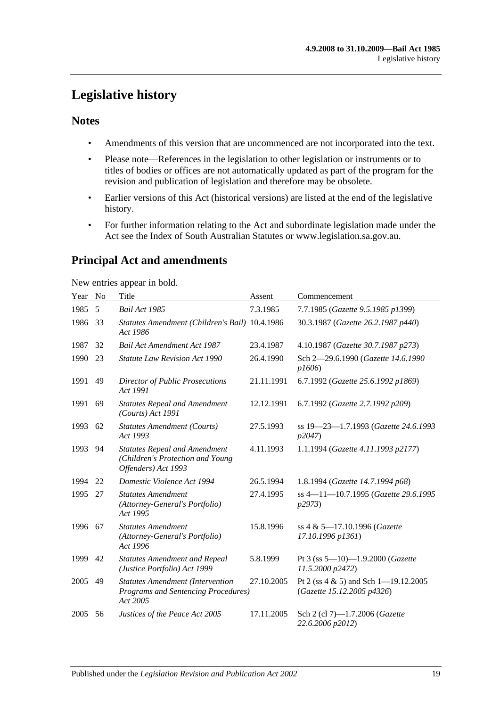# <span id="page-18-0"></span>**Legislative history**

# **Notes**

- Amendments of this version that are uncommenced are not incorporated into the text.
- Please note—References in the legislation to other legislation or instruments or to titles of bodies or offices are not automatically updated as part of the program for the revision and publication of legislation and therefore may be obsolete.
- Earlier versions of this Act (historical versions) are listed at the end of the legislative history.
- For further information relating to the Act and subordinate legislation made under the Act see the Index of South Australian Statutes or www.legislation.sa.gov.au.

# **Principal Act and amendments**

New entries appear in bold.

| Year | No | Title                                                                                           | Assent     | Commencement                                                           |
|------|----|-------------------------------------------------------------------------------------------------|------------|------------------------------------------------------------------------|
| 1985 | 5  | Bail Act 1985                                                                                   | 7.3.1985   | 7.7.1985 (Gazette 9.5.1985 p1399)                                      |
| 1986 | 33 | Statutes Amendment (Children's Bail) 10.4.1986<br>Act 1986                                      |            | 30.3.1987 (Gazette 26.2.1987 p440)                                     |
| 1987 | 32 | <b>Bail Act Amendment Act 1987</b>                                                              | 23.4.1987  | 4.10.1987 (Gazette 30.7.1987 p273)                                     |
| 1990 | 23 | <b>Statute Law Revision Act 1990</b>                                                            | 26.4.1990  | Sch 2-29.6.1990 (Gazette 14.6.1990<br>p1606                            |
| 1991 | 49 | <b>Director of Public Prosecutions</b><br>Act 1991                                              | 21.11.1991 | 6.7.1992 (Gazette 25.6.1992 p1869)                                     |
| 1991 | 69 | <b>Statutes Repeal and Amendment</b><br>(Courts) Act 1991                                       | 12.12.1991 | 6.7.1992 (Gazette 2.7.1992 p209)                                       |
| 1993 | 62 | <b>Statutes Amendment (Courts)</b><br>Act 1993                                                  | 27.5.1993  | ss 19-23-1.7.1993 (Gazette 24.6.1993<br>p2047                          |
| 1993 | 94 | <b>Statutes Repeal and Amendment</b><br>(Children's Protection and Young<br>Offenders) Act 1993 | 4.11.1993  | 1.1.1994 (Gazette 4.11.1993 p2177)                                     |
| 1994 | 22 | Domestic Violence Act 1994                                                                      | 26.5.1994  | 1.8.1994 (Gazette 14.7.1994 p68)                                       |
| 1995 | 27 | <b>Statutes Amendment</b><br>(Attorney-General's Portfolio)<br>Act 1995                         | 27.4.1995  | ss 4-11-10.7.1995 (Gazette 29.6.1995<br>p2973                          |
| 1996 | 67 | <b>Statutes Amendment</b><br>(Attorney-General's Portfolio)<br>Act 1996                         | 15.8.1996  | ss 4 & 5-17.10.1996 (Gazette<br>17.10.1996 p1361)                      |
| 1999 | 42 | <b>Statutes Amendment and Repeal</b><br>(Justice Portfolio) Act 1999                            | 5.8.1999   | Pt 3 (ss $5-10$ )-1.9.2000 (Gazette<br>11.5.2000 p2472)                |
| 2005 | 49 | <b>Statutes Amendment (Intervention</b><br>Programs and Sentencing Procedures)<br>Act 2005      | 27.10.2005 | Pt 2 (ss $4 \& 5$ ) and Sch 1-19.12.2005<br>(Gazette 15.12.2005 p4326) |
| 2005 | 56 | Justices of the Peace Act 2005                                                                  | 17.11.2005 | Sch 2 (cl 7)-1.7.2006 (Gazette<br>22.6.2006 p2012)                     |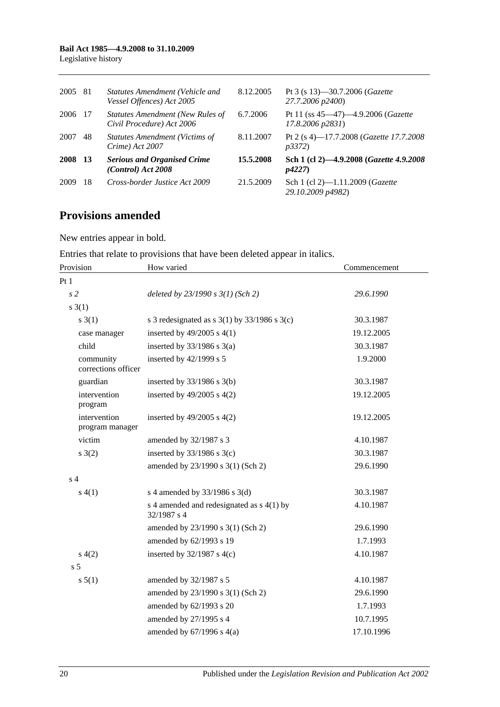#### **Bail Act 1985—4.9.2008 to 31.10.2009** Legislative history

| 2005        | -81       | Statutes Amendment (Vehicle and<br>Vessel Offences) Act 2005         | 8.12.2005 | Pt 3 (s 13)–30.7.2006 ( <i>Gazette</i><br>27.7.2006 p2400) |
|-------------|-----------|----------------------------------------------------------------------|-----------|------------------------------------------------------------|
| 2006        | -17       | <b>Statutes Amendment (New Rules of</b><br>Civil Procedure) Act 2006 | 6.7.2006  | Pt 11 (ss 45-47)-4.9.2006 (Gazette<br>17.8.2006 p2831)     |
| 2007        | 48        | <b>Statutes Amendment (Victims of</b><br>Crime) Act 2007             | 8.11.2007 | Pt 2 (s 4)—17.7.2008 ( <i>Gazette 17.7.2008</i><br>p3372   |
| <b>2008</b> | <b>13</b> | <b>Serious and Organised Crime</b><br>(Control) Act 2008             | 15.5.2008 | Sch 1 (cl 2)-4.9.2008 (Gazette 4.9.2008<br>p4227           |
| 2009        | 18        | Cross-border Justice Act 2009                                        | 21.5.2009 | Sch 1 (cl 2)-1.11.2009 (Gazette<br>29.10.2009 p4982)       |

# **Provisions amended**

New entries appear in bold.

Entries that relate to provisions that have been deleted appear in italics.

| Provision                        | How varied                                                 | Commencement |  |
|----------------------------------|------------------------------------------------------------|--------------|--|
| Pt1                              |                                                            |              |  |
| s <sub>2</sub>                   | deleted by $23/1990 s 3(1)$ (Sch 2)                        | 29.6.1990    |  |
| $s \; 3(1)$                      |                                                            |              |  |
| s(3(1))                          | s 3 redesignated as s $3(1)$ by $33/1986$ s $3(c)$         | 30.3.1987    |  |
| case manager                     | inserted by $49/2005$ s $4(1)$                             | 19.12.2005   |  |
| child                            | inserted by $33/1986$ s $3(a)$                             | 30.3.1987    |  |
| community<br>corrections officer | inserted by 42/1999 s 5                                    | 1.9.2000     |  |
| guardian                         | inserted by $33/1986$ s $3(b)$                             | 30.3.1987    |  |
| intervention<br>program          | inserted by $49/2005$ s $4(2)$                             | 19.12.2005   |  |
| intervention<br>program manager  | inserted by $49/2005$ s $4(2)$                             | 19.12.2005   |  |
| victim                           | amended by 32/1987 s 3                                     | 4.10.1987    |  |
| $s \; 3(2)$                      | inserted by $33/1986$ s $3(c)$                             | 30.3.1987    |  |
|                                  | amended by 23/1990 s 3(1) (Sch 2)                          | 29.6.1990    |  |
| s <sub>4</sub>                   |                                                            |              |  |
| s(4(1))                          | s 4 amended by 33/1986 s 3(d)                              | 30.3.1987    |  |
|                                  | s 4 amended and redesignated as $s$ 4(1) by<br>32/1987 s 4 | 4.10.1987    |  |
|                                  | amended by 23/1990 s 3(1) (Sch 2)                          | 29.6.1990    |  |
|                                  | amended by 62/1993 s 19                                    | 1.7.1993     |  |
| s(4(2)                           | inserted by $32/1987$ s 4(c)                               | 4.10.1987    |  |
| s <sub>5</sub>                   |                                                            |              |  |
| s 5(1)                           | amended by 32/1987 s 5                                     | 4.10.1987    |  |
|                                  | amended by 23/1990 s 3(1) (Sch 2)                          | 29.6.1990    |  |
|                                  | amended by 62/1993 s 20                                    | 1.7.1993     |  |
|                                  | amended by 27/1995 s 4                                     | 10.7.1995    |  |
|                                  | amended by $67/1996$ s $4(a)$                              | 17.10.1996   |  |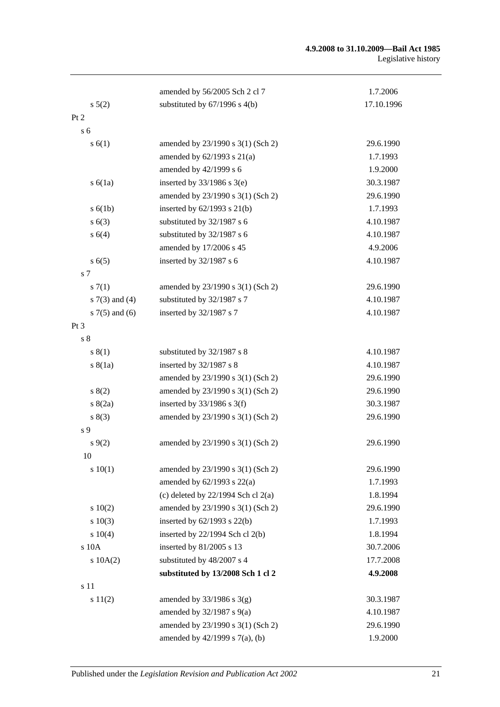#### **4.9.2008 to 31.10.2009—Bail Act 1985** Legislative history

|                     | amended by 56/2005 Sch 2 cl 7          | 1.7.2006   |
|---------------------|----------------------------------------|------------|
| s 5(2)              | substituted by $67/1996$ s $4(b)$      | 17.10.1996 |
| Pt 2                |                                        |            |
| s <sub>6</sub>      |                                        |            |
| s(6(1))             | amended by 23/1990 s 3(1) (Sch 2)      | 29.6.1990  |
|                     | amended by $62/1993$ s $21(a)$         | 1.7.1993   |
|                     | amended by 42/1999 s 6                 | 1.9.2000   |
| s(6(1a))            | inserted by $33/1986$ s $3(e)$         | 30.3.1987  |
|                     | amended by 23/1990 s 3(1) (Sch 2)      | 29.6.1990  |
| s(6(1b))            | inserted by $62/1993$ s $21(b)$        | 1.7.1993   |
| s(6(3))             | substituted by 32/1987 s 6             | 4.10.1987  |
| s 6(4)              | substituted by 32/1987 s 6             | 4.10.1987  |
|                     | amended by 17/2006 s 45                | 4.9.2006   |
| s(6(5)              | inserted by 32/1987 s 6                | 4.10.1987  |
| s <sub>7</sub>      |                                        |            |
| s(7(1)              | amended by 23/1990 s 3(1) (Sch 2)      | 29.6.1990  |
| $s \, 7(3)$ and (4) | substituted by 32/1987 s 7             | 4.10.1987  |
| $s \, 7(5)$ and (6) | inserted by 32/1987 s 7                | 4.10.1987  |
| Pt 3                |                                        |            |
| s <sub>8</sub>      |                                        |            |
| s(1)                | substituted by 32/1987 s 8             | 4.10.1987  |
| s(8(1a))            | inserted by 32/1987 s 8                | 4.10.1987  |
|                     | amended by 23/1990 s 3(1) (Sch 2)      | 29.6.1990  |
| 8(2)                | amended by 23/1990 s 3(1) (Sch 2)      | 29.6.1990  |
| s(2a)               | inserted by $33/1986$ s 3(f)           | 30.3.1987  |
| s(3)                | amended by 23/1990 s 3(1) (Sch 2)      | 29.6.1990  |
| s 9                 |                                        |            |
| $s \, 9(2)$         | amended by 23/1990 s 3(1) (Sch 2)      | 29.6.1990  |
| 10                  |                                        |            |
| 10(1)               | amended by 23/1990 s 3(1) (Sch 2)      | 29.6.1990  |
|                     | amended by $62/1993$ s $22(a)$         | 1.7.1993   |
|                     | (c) deleted by $22/1994$ Sch cl $2(a)$ | 1.8.1994   |
| 10(2)               | amended by 23/1990 s 3(1) (Sch 2)      | 29.6.1990  |
| 10(3)               | inserted by $62/1993$ s $22(b)$        | 1.7.1993   |
| s 10(4)             | inserted by 22/1994 Sch cl 2(b)        | 1.8.1994   |
| s 10A               | inserted by 81/2005 s 13               | 30.7.2006  |
| 10A(2)              | substituted by 48/2007 s 4             | 17.7.2008  |
|                     | substituted by 13/2008 Sch 1 cl 2      | 4.9.2008   |
| s 11                |                                        |            |
| s 11(2)             | amended by $33/1986$ s $3(g)$          | 30.3.1987  |
|                     | amended by $32/1987$ s $9(a)$          | 4.10.1987  |
|                     | amended by 23/1990 s 3(1) (Sch 2)      | 29.6.1990  |
|                     | amended by 42/1999 s 7(a), (b)         | 1.9.2000   |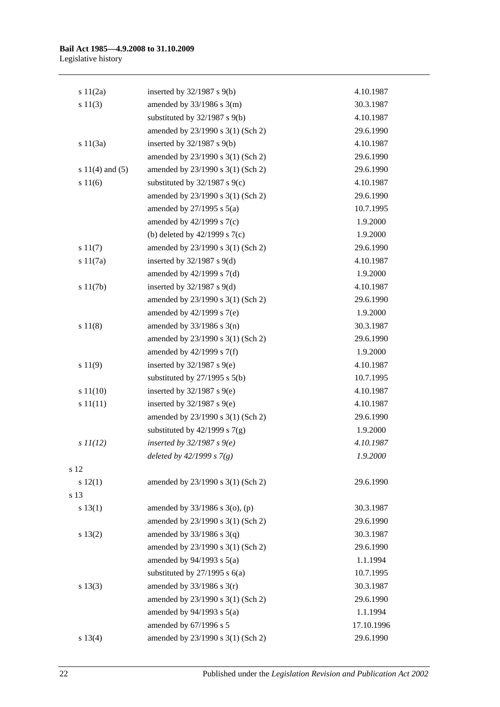| s 11(2a)            | inserted by $32/1987$ s $9(b)$    | 4.10.1987  |
|---------------------|-----------------------------------|------------|
| s 11(3)             | amended by $33/1986$ s $3(m)$     | 30.3.1987  |
|                     | substituted by $32/1987$ s $9(b)$ | 4.10.1987  |
|                     | amended by 23/1990 s 3(1) (Sch 2) | 29.6.1990  |
| s 11(3a)            | inserted by $32/1987$ s $9(b)$    | 4.10.1987  |
|                     | amended by 23/1990 s 3(1) (Sch 2) | 29.6.1990  |
| s $11(4)$ and $(5)$ | amended by 23/1990 s 3(1) (Sch 2) | 29.6.1990  |
| s 11(6)             | substituted by 32/1987 s 9(c)     | 4.10.1987  |
|                     | amended by 23/1990 s 3(1) (Sch 2) | 29.6.1990  |
|                     | amended by $27/1995$ s $5(a)$     | 10.7.1995  |
|                     | amended by 42/1999 s 7(c)         | 1.9.2000   |
|                     | (b) deleted by $42/1999$ s $7(c)$ | 1.9.2000   |
| s 11(7)             | amended by 23/1990 s 3(1) (Sch 2) | 29.6.1990  |
| s 11(7a)            | inserted by $32/1987$ s $9(d)$    | 4.10.1987  |
|                     | amended by $42/1999$ s $7(d)$     | 1.9.2000   |
| s 11(7b)            | inserted by $32/1987$ s $9(d)$    | 4.10.1987  |
|                     | amended by 23/1990 s 3(1) (Sch 2) | 29.6.1990  |
|                     | amended by 42/1999 s 7(e)         | 1.9.2000   |
| s 11(8)             | amended by $33/1986$ s $3(n)$     | 30.3.1987  |
|                     | amended by 23/1990 s 3(1) (Sch 2) | 29.6.1990  |
|                     | amended by $42/1999$ s $7(f)$     | 1.9.2000   |
| s 11(9)             | inserted by $32/1987$ s $9(e)$    | 4.10.1987  |
|                     | substituted by $27/1995$ s $5(b)$ | 10.7.1995  |
| s 11(10)            | inserted by $32/1987$ s $9(e)$    | 4.10.1987  |
| s 11(11)            | inserted by $32/1987$ s $9(e)$    | 4.10.1987  |
|                     | amended by 23/1990 s 3(1) (Sch 2) | 29.6.1990  |
|                     | substituted by $42/1999$ s $7(g)$ | 1.9.2000   |
| $s$ $11(12)$        | inserted by $32/1987 s$ 9(e)      | 4.10.1987  |
|                     | deleted by 42/1999 s 7(g)         | 1.9.2000   |
| s 12                |                                   |            |
| 12(1)               | amended by 23/1990 s 3(1) (Sch 2) | 29.6.1990  |
| s 13                |                                   |            |
| s 13(1)             | amended by 33/1986 s 3(o), (p)    | 30.3.1987  |
|                     | amended by 23/1990 s 3(1) (Sch 2) | 29.6.1990  |
| s 13(2)             | amended by $33/1986$ s $3(q)$     | 30.3.1987  |
|                     | amended by 23/1990 s 3(1) (Sch 2) | 29.6.1990  |
|                     | amended by $94/1993$ s $5(a)$     | 1.1.1994   |
|                     | substituted by $27/1995$ s $6(a)$ | 10.7.1995  |
| s 13(3)             | amended by $33/1986$ s $3(r)$     | 30.3.1987  |
|                     | amended by 23/1990 s 3(1) (Sch 2) | 29.6.1990  |
|                     | amended by $94/1993$ s $5(a)$     | 1.1.1994   |
|                     | amended by 67/1996 s 5            | 17.10.1996 |
| s 13(4)             | amended by 23/1990 s 3(1) (Sch 2) | 29.6.1990  |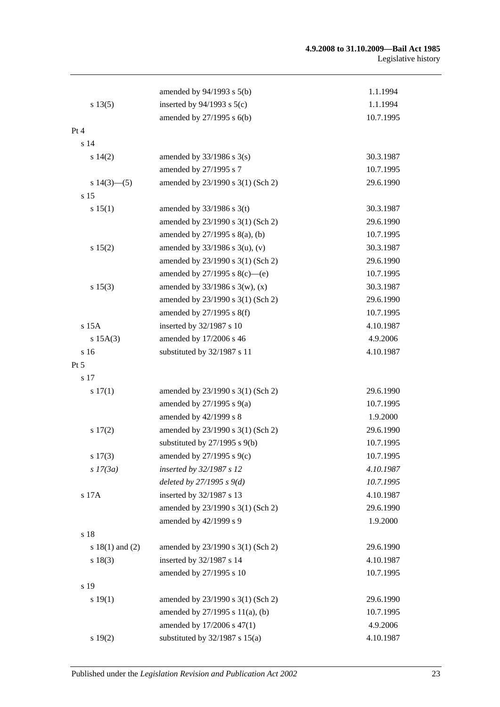#### **4.9.2008 to 31.10.2009—Bail Act 1985** Legislative history

|                     | amended by $94/1993$ s $5(b)$       | 1.1.1994  |
|---------------------|-------------------------------------|-----------|
| s 13(5)             | inserted by $94/1993$ s $5(c)$      | 1.1.1994  |
|                     | amended by $27/1995$ s $6(b)$       | 10.7.1995 |
| Pt 4                |                                     |           |
| s <sub>14</sub>     |                                     |           |
| $s\ 14(2)$          | amended by $33/1986$ s $3(s)$       | 30.3.1987 |
|                     | amended by 27/1995 s 7              | 10.7.1995 |
| s $14(3)$ —(5)      | amended by 23/1990 s 3(1) (Sch 2)   | 29.6.1990 |
| s 15                |                                     |           |
| s 15(1)             | amended by $33/1986$ s 3(t)         | 30.3.1987 |
|                     | amended by 23/1990 s 3(1) (Sch 2)   | 29.6.1990 |
|                     | amended by $27/1995$ s $8(a)$ , (b) | 10.7.1995 |
| s 15(2)             | amended by $33/1986$ s $3(u)$ , (v) | 30.3.1987 |
|                     | amended by 23/1990 s 3(1) (Sch 2)   | 29.6.1990 |
|                     | amended by $27/1995$ s $8(c)$ —(e)  | 10.7.1995 |
| s 15(3)             | amended by $33/1986$ s $3(w)$ , (x) | 30.3.1987 |
|                     | amended by 23/1990 s 3(1) (Sch 2)   | 29.6.1990 |
|                     | amended by 27/1995 s 8(f)           | 10.7.1995 |
| s 15A               | inserted by 32/1987 s 10            | 4.10.1987 |
| $s$ 15A(3)          | amended by 17/2006 s 46             | 4.9.2006  |
| s 16                | substituted by 32/1987 s 11         | 4.10.1987 |
| $Pt\,5$             |                                     |           |
| s 17                |                                     |           |
| s 17(1)             | amended by 23/1990 s 3(1) (Sch 2)   | 29.6.1990 |
|                     | amended by 27/1995 s 9(a)           | 10.7.1995 |
|                     | amended by 42/1999 s 8              | 1.9.2000  |
| s 17(2)             | amended by 23/1990 s 3(1) (Sch 2)   | 29.6.1990 |
|                     | substituted by $27/1995$ s $9(b)$   | 10.7.1995 |
| $s\ 17(3)$          | amended by $27/1995$ s $9(c)$       | 10.7.1995 |
| s 17(3a)            | inserted by 32/1987 s 12            | 4.10.1987 |
|                     | deleted by $27/1995 s 9(d)$         | 10.7.1995 |
| s 17A               | inserted by 32/1987 s 13            | 4.10.1987 |
|                     | amended by 23/1990 s 3(1) (Sch 2)   | 29.6.1990 |
|                     | amended by 42/1999 s 9              | 1.9.2000  |
| s 18                |                                     |           |
| s $18(1)$ and $(2)$ | amended by 23/1990 s 3(1) (Sch 2)   | 29.6.1990 |
| s 18(3)             | inserted by 32/1987 s 14            | 4.10.1987 |
|                     | amended by 27/1995 s 10             | 10.7.1995 |
| s 19                |                                     |           |
| s 19(1)             | amended by 23/1990 s 3(1) (Sch 2)   | 29.6.1990 |
|                     | amended by 27/1995 s 11(a), (b)     | 10.7.1995 |
|                     | amended by 17/2006 s 47(1)          | 4.9.2006  |
| s 19(2)             | substituted by $32/1987$ s $15(a)$  | 4.10.1987 |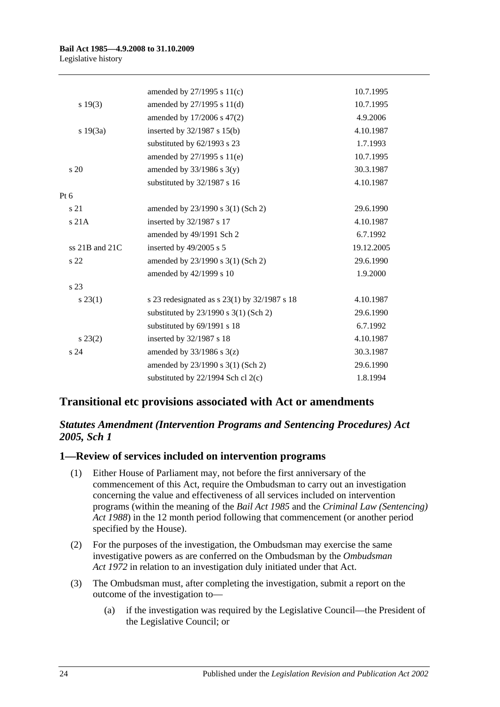|                 | amended by $27/1995$ s $11(c)$               | 10.7.1995  |
|-----------------|----------------------------------------------|------------|
| s 19(3)         | amended by 27/1995 s 11(d)                   | 10.7.1995  |
|                 | amended by 17/2006 s 47(2)                   | 4.9.2006   |
| s 19(3a)        | inserted by 32/1987 s 15(b)                  | 4.10.1987  |
|                 | substituted by 62/1993 s 23                  | 1.7.1993   |
|                 | amended by 27/1995 s 11(e)                   | 10.7.1995  |
| s <sub>20</sub> | amended by $33/1986$ s $3(y)$                | 30.3.1987  |
|                 | substituted by 32/1987 s 16                  | 4.10.1987  |
| $Pt\ 6$         |                                              |            |
| s 21            | amended by 23/1990 s 3(1) (Sch 2)            | 29.6.1990  |
| s 21A           | inserted by 32/1987 s 17                     | 4.10.1987  |
|                 | amended by 49/1991 Sch 2                     | 6.7.1992   |
| ss 21B and 21C  | inserted by 49/2005 s 5                      | 19.12.2005 |
| s 22            | amended by 23/1990 s 3(1) (Sch 2)            | 29.6.1990  |
|                 | amended by 42/1999 s 10                      | 1.9.2000   |
| s 23            |                                              |            |
| $s\,23(1)$      | s 23 redesignated as s 23(1) by 32/1987 s 18 | 4.10.1987  |
|                 | substituted by $23/1990$ s $3(1)$ (Sch 2)    | 29.6.1990  |
|                 | substituted by 69/1991 s 18                  | 6.7.1992   |
| $s\,23(2)$      | inserted by 32/1987 s 18                     | 4.10.1987  |
| s <sub>24</sub> | amended by $33/1986$ s $3(z)$                | 30.3.1987  |
|                 | amended by 23/1990 s 3(1) (Sch 2)            | 29.6.1990  |
|                 | substituted by 22/1994 Sch cl 2(c)           | 1.8.1994   |

# **Transitional etc provisions associated with Act or amendments**

# *Statutes Amendment (Intervention Programs and Sentencing Procedures) Act 2005, Sch 1*

### **1—Review of services included on intervention programs**

- (1) Either House of Parliament may, not before the first anniversary of the commencement of this Act, require the Ombudsman to carry out an investigation concerning the value and effectiveness of all services included on intervention programs (within the meaning of the *[Bail Act](http://www.legislation.sa.gov.au/index.aspx?action=legref&type=act&legtitle=Bail%20Act%201985) 1985* and the *[Criminal Law \(Sentencing\)](http://www.legislation.sa.gov.au/index.aspx?action=legref&type=act&legtitle=Criminal%20Law%20(Sentencing)%20Act%201988)  Act [1988](http://www.legislation.sa.gov.au/index.aspx?action=legref&type=act&legtitle=Criminal%20Law%20(Sentencing)%20Act%201988)*) in the 12 month period following that commencement (or another period specified by the House).
- (2) For the purposes of the investigation, the Ombudsman may exercise the same investigative powers as are conferred on the Ombudsman by the *[Ombudsman](http://www.legislation.sa.gov.au/index.aspx?action=legref&type=act&legtitle=Ombudsman%20Act%201972)  Act [1972](http://www.legislation.sa.gov.au/index.aspx?action=legref&type=act&legtitle=Ombudsman%20Act%201972)* in relation to an investigation duly initiated under that Act.
- (3) The Ombudsman must, after completing the investigation, submit a report on the outcome of the investigation to—
	- (a) if the investigation was required by the Legislative Council—the President of the Legislative Council; or